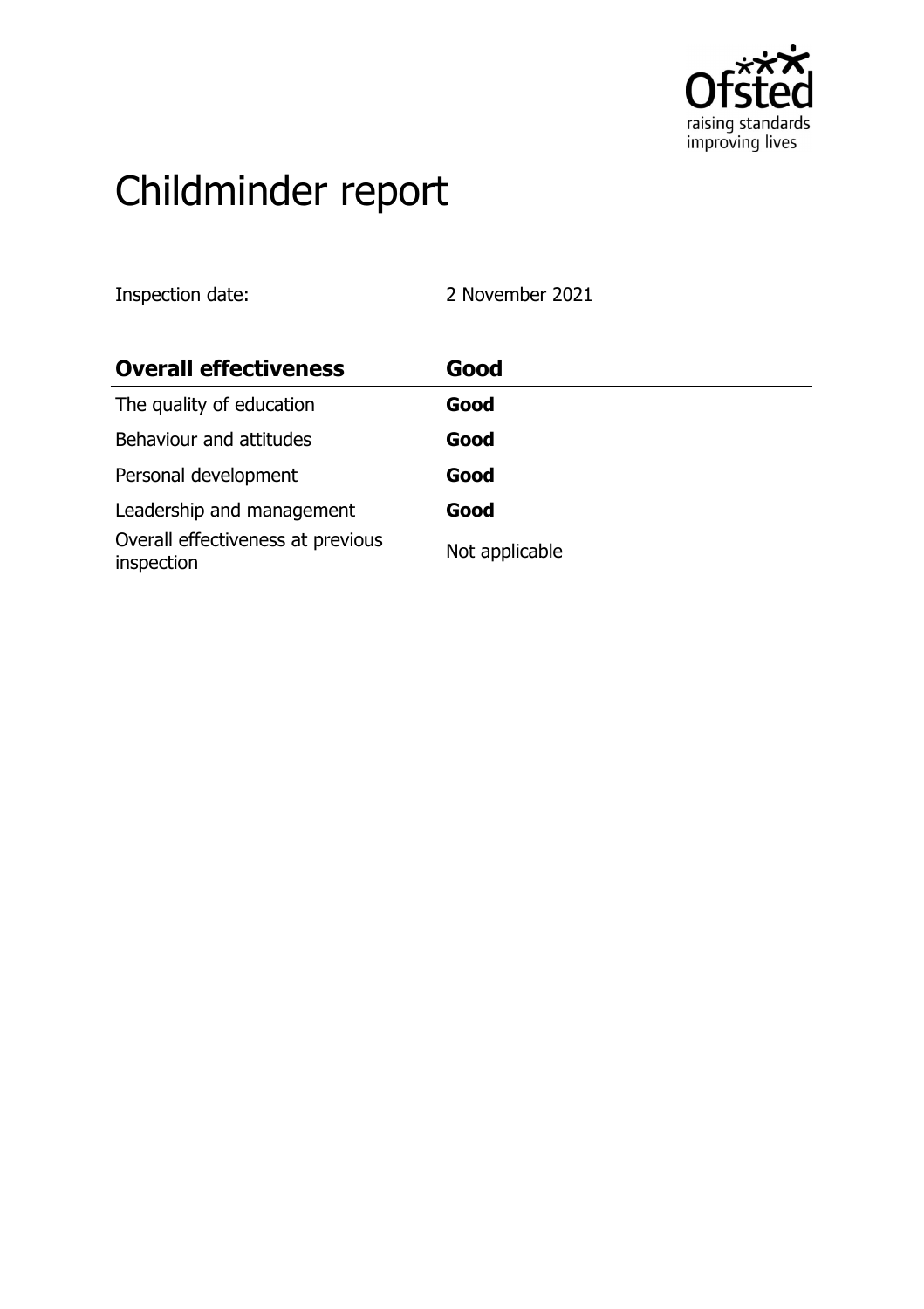

# Childminder report

Inspection date: 2 November 2021

| <b>Overall effectiveness</b>                    | Good           |
|-------------------------------------------------|----------------|
| The quality of education                        | Good           |
| Behaviour and attitudes                         | Good           |
| Personal development                            | Good           |
| Leadership and management                       | Good           |
| Overall effectiveness at previous<br>inspection | Not applicable |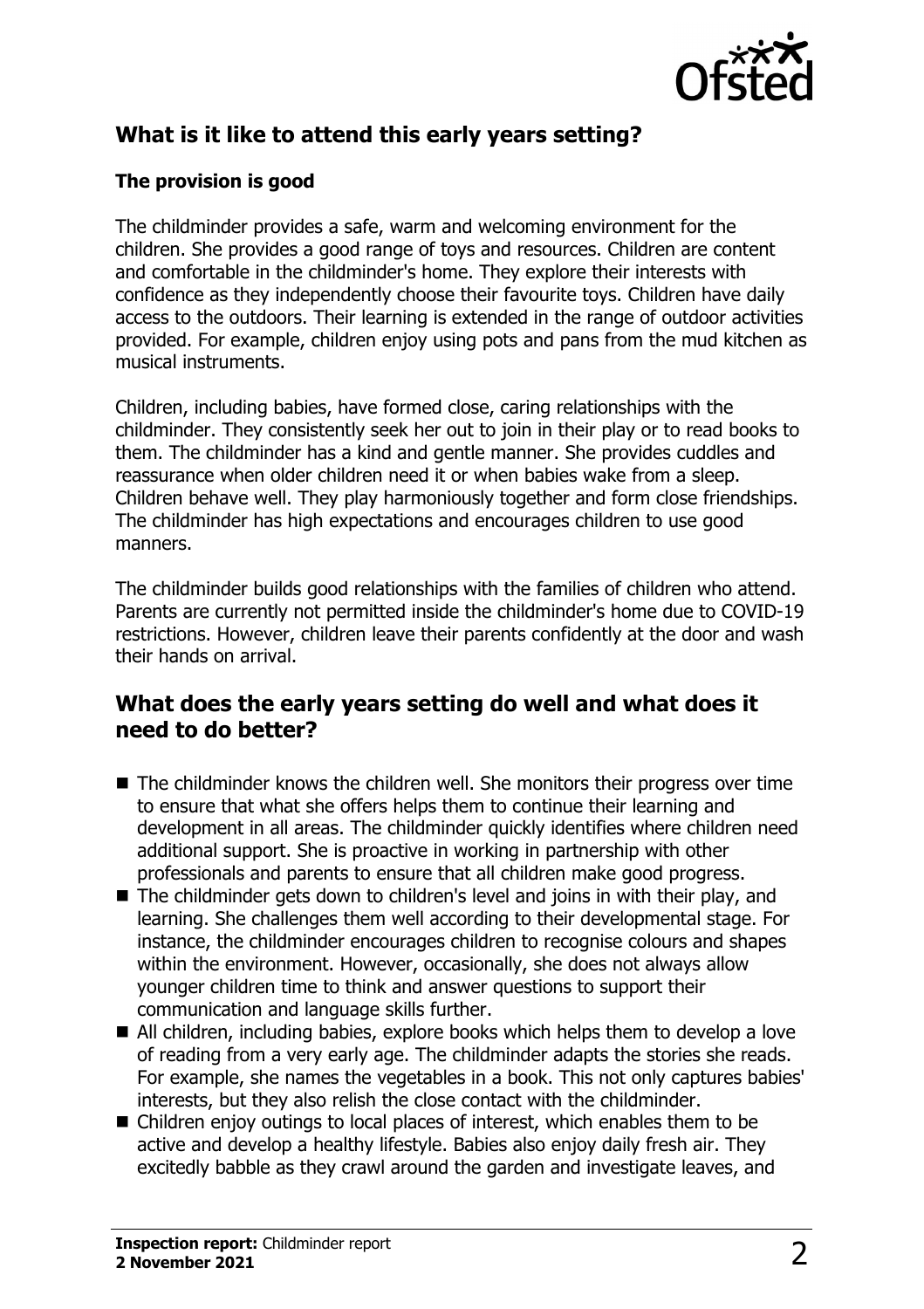

# **What is it like to attend this early years setting?**

#### **The provision is good**

The childminder provides a safe, warm and welcoming environment for the children. She provides a good range of toys and resources. Children are content and comfortable in the childminder's home. They explore their interests with confidence as they independently choose their favourite toys. Children have daily access to the outdoors. Their learning is extended in the range of outdoor activities provided. For example, children enjoy using pots and pans from the mud kitchen as musical instruments.

Children, including babies, have formed close, caring relationships with the childminder. They consistently seek her out to join in their play or to read books to them. The childminder has a kind and gentle manner. She provides cuddles and reassurance when older children need it or when babies wake from a sleep. Children behave well. They play harmoniously together and form close friendships. The childminder has high expectations and encourages children to use good manners.

The childminder builds good relationships with the families of children who attend. Parents are currently not permitted inside the childminder's home due to COVID-19 restrictions. However, children leave their parents confidently at the door and wash their hands on arrival.

## **What does the early years setting do well and what does it need to do better?**

- $\blacksquare$  The childminder knows the children well. She monitors their progress over time to ensure that what she offers helps them to continue their learning and development in all areas. The childminder quickly identifies where children need additional support. She is proactive in working in partnership with other professionals and parents to ensure that all children make good progress.
- $\blacksquare$  The childminder gets down to children's level and joins in with their play, and learning. She challenges them well according to their developmental stage. For instance, the childminder encourages children to recognise colours and shapes within the environment. However, occasionally, she does not always allow younger children time to think and answer questions to support their communication and language skills further.
- $\blacksquare$  All children, including babies, explore books which helps them to develop a love of reading from a very early age. The childminder adapts the stories she reads. For example, she names the vegetables in a book. This not only captures babies' interests, but they also relish the close contact with the childminder.
- $\blacksquare$  Children enjoy outings to local places of interest, which enables them to be active and develop a healthy lifestyle. Babies also enjoy daily fresh air. They excitedly babble as they crawl around the garden and investigate leaves, and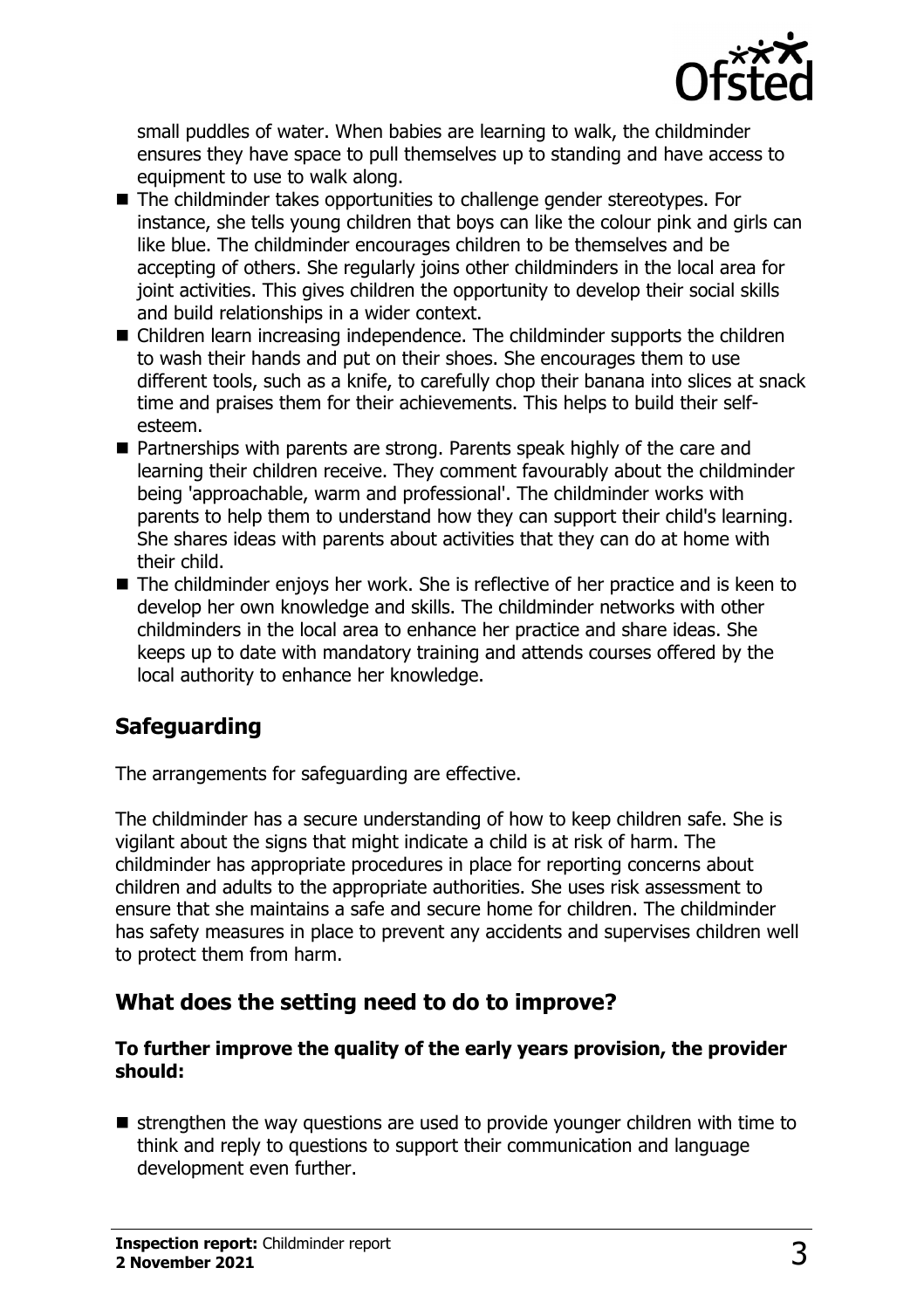

small puddles of water. When babies are learning to walk, the childminder ensures they have space to pull themselves up to standing and have access to equipment to use to walk along.

- $\blacksquare$  The childminder takes opportunities to challenge gender stereotypes. For instance, she tells young children that boys can like the colour pink and girls can like blue. The childminder encourages children to be themselves and be accepting of others. She regularly joins other childminders in the local area for joint activities. This gives children the opportunity to develop their social skills and build relationships in a wider context.
- $\blacksquare$  Children learn increasing independence. The childminder supports the children to wash their hands and put on their shoes. She encourages them to use different tools, such as a knife, to carefully chop their banana into slices at snack time and praises them for their achievements. This helps to build their selfesteem.
- Partnerships with parents are strong. Parents speak highly of the care and learning their children receive. They comment favourably about the childminder being 'approachable, warm and professional'. The childminder works with parents to help them to understand how they can support their child's learning. She shares ideas with parents about activities that they can do at home with their child.
- $\blacksquare$  The childminder enjovs her work. She is reflective of her practice and is keen to develop her own knowledge and skills. The childminder networks with other childminders in the local area to enhance her practice and share ideas. She keeps up to date with mandatory training and attends courses offered by the local authority to enhance her knowledge.

# **Safeguarding**

The arrangements for safeguarding are effective.

The childminder has a secure understanding of how to keep children safe. She is vigilant about the signs that might indicate a child is at risk of harm. The childminder has appropriate procedures in place for reporting concerns about children and adults to the appropriate authorities. She uses risk assessment to ensure that she maintains a safe and secure home for children. The childminder has safety measures in place to prevent any accidents and supervises children well to protect them from harm.

## **What does the setting need to do to improve?**

#### **To further improve the quality of the early years provision, the provider should:**

 $\blacksquare$  strengthen the way questions are used to provide younger children with time to think and reply to questions to support their communication and language development even further.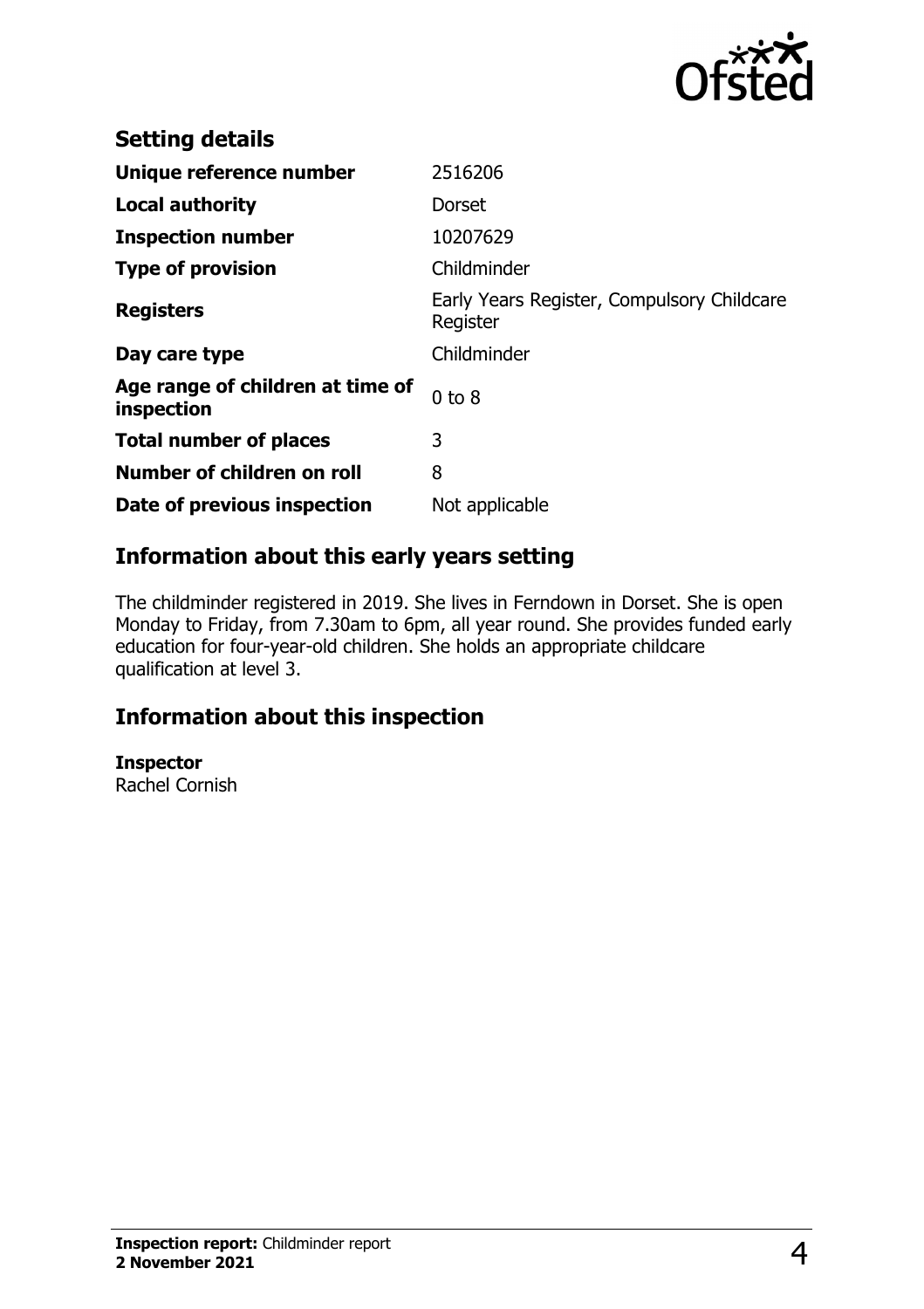

| <b>Setting details</b>                         |                                                        |
|------------------------------------------------|--------------------------------------------------------|
| Unique reference number                        | 2516206                                                |
| <b>Local authority</b>                         | Dorset                                                 |
| <b>Inspection number</b>                       | 10207629                                               |
| <b>Type of provision</b>                       | Childminder                                            |
| <b>Registers</b>                               | Early Years Register, Compulsory Childcare<br>Register |
| Day care type                                  | Childminder                                            |
| Age range of children at time of<br>inspection | $0$ to $8$                                             |
| <b>Total number of places</b>                  | 3                                                      |
| Number of children on roll                     | 8                                                      |
| Date of previous inspection                    | Not applicable                                         |

## **Information about this early years setting**

The childminder registered in 2019. She lives in Ferndown in Dorset. She is open Monday to Friday, from 7.30am to 6pm, all year round. She provides funded early education for four-year-old children. She holds an appropriate childcare qualification at level 3.

## **Information about this inspection**

**Inspector**

Rachel Cornish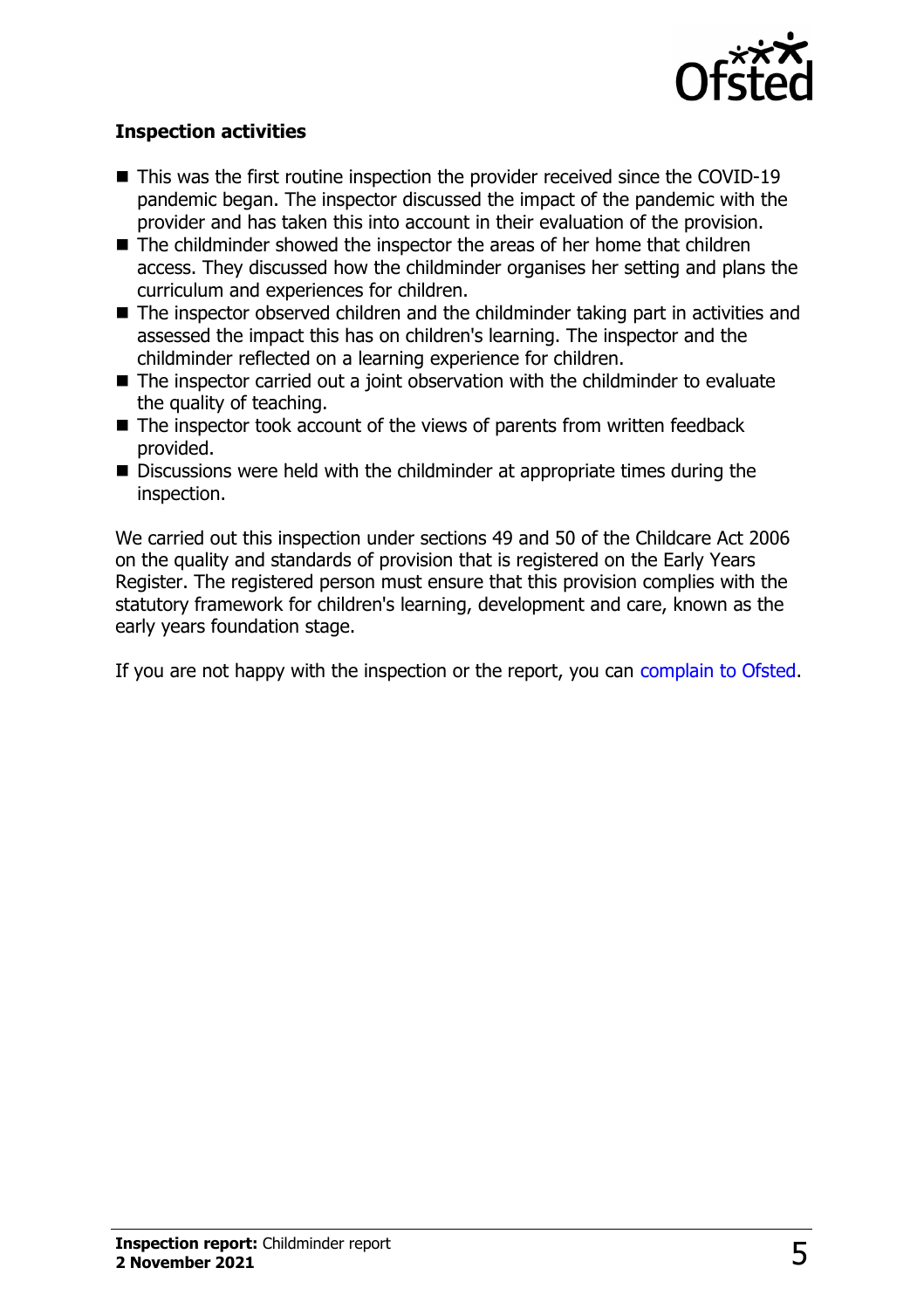

#### **Inspection activities**

- $\blacksquare$  This was the first routine inspection the provider received since the COVID-19 pandemic began. The inspector discussed the impact of the pandemic with the provider and has taken this into account in their evaluation of the provision.
- $\blacksquare$  The childminder showed the inspector the areas of her home that children access. They discussed how the childminder organises her setting and plans the curriculum and experiences for children.
- $\blacksquare$  The inspector observed children and the childminder taking part in activities and assessed the impact this has on children's learning. The inspector and the childminder reflected on a learning experience for children.
- $\blacksquare$  The inspector carried out a joint observation with the childminder to evaluate the quality of teaching.
- $\blacksquare$  The inspector took account of the views of parents from written feedback provided.
- Discussions were held with the childminder at appropriate times during the inspection.

We carried out this inspection under sections 49 and 50 of the Childcare Act 2006 on the quality and standards of provision that is registered on the Early Years Register. The registered person must ensure that this provision complies with the statutory framework for children's learning, development and care, known as the early years foundation stage.

If you are not happy with the inspection or the report, you can [complain to Ofsted](http://www.gov.uk/complain-ofsted-report).